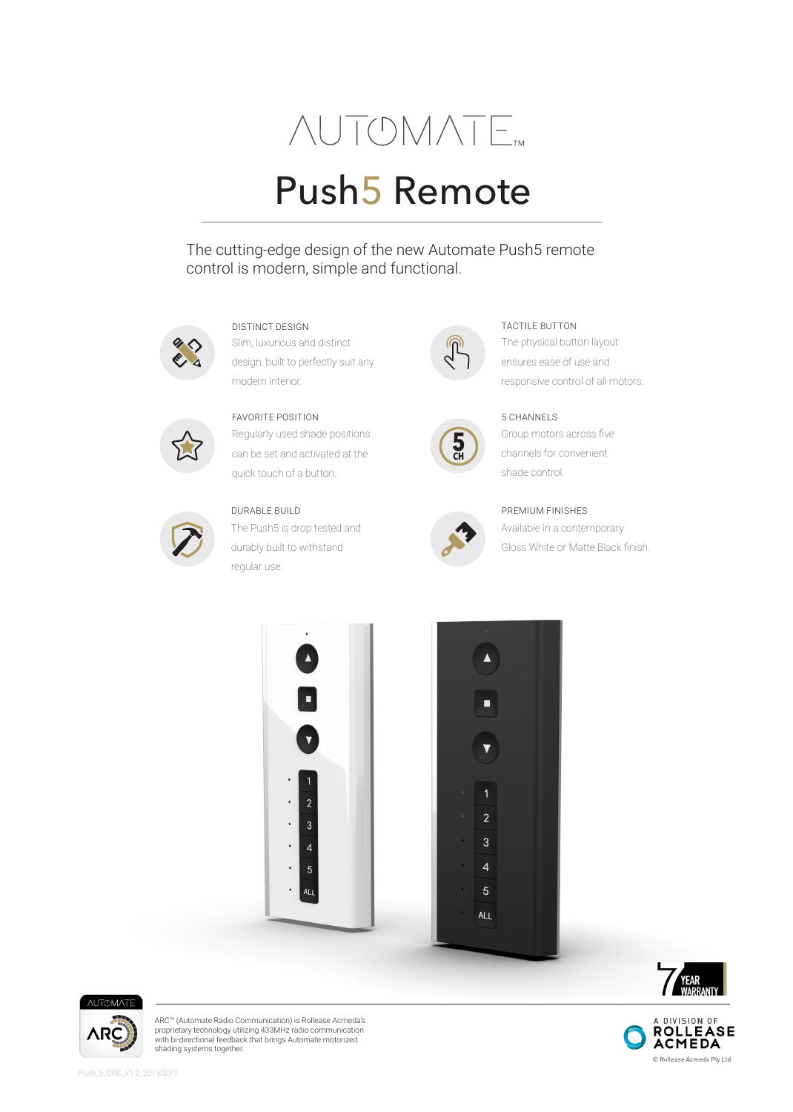# **NUTOMATE**

## Push5 Remote

The cutting-edge design of the new Automate Push5 remote control is modern, simple and functional.



DISTINCT DESIGN TACTILE BUTTON

Slim, luxurious and distinct design, built to perfectly suit any modern interior.



Regularly used shade positions can be set and activated at the quick touch of a button.



#### DURABLE BUILD

The Push5 is drop tested and durably built to withstand regular use.







Available in a contemporary Gloss White or Matte Black finish. PREMIUM FINISHES

The physical button layout ensures ease of use and responsive control of all motors.

Group motors across five channels for convenient

shade control.











ARC™ (Automate Radio Communication) is Rollease Acmeda's proprietary technology utilizing 433MHz radio communication with bi-directional feedback that brings Automate motorized shading systems together.